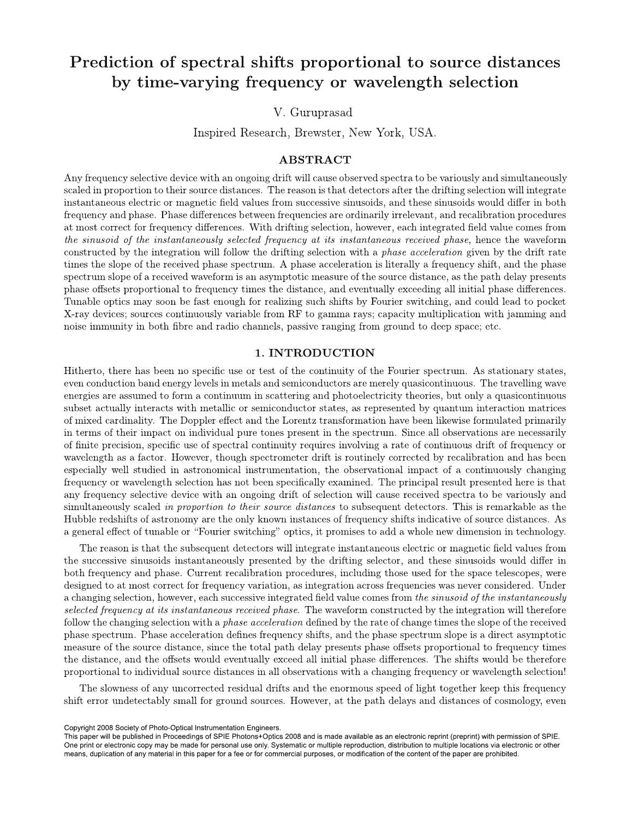# Prediction of spectral shifts proportional to source distances by time-varying frequency or wavelength selection

V. Guruprasad

Inspired Research, Brewster, New York, USA.

## **ABSTRACT**

Any frequency selective device with an ongoing drift will cause observed spectra to be variously and simultaneously scaled in proportion to their source distances. The reason is that detectors after the drifting selection will integrate instantaneous electric or magnetic field values from successive sinusoids, and these sinusoids would differ in both frequency and phase. Phase differences between frequencies are ordinarily irrelevant, and recalibration procedures at most correct for frequency differences. With drifting selection, however, each integrated field value comes from the sinusoid of the instantaneously selected frequency at its instantaneous received phase, hence the waveform constructed by the integration will follow the drifting selection with a *phase acceleration* given by the drift rate times the slope of the received phase spectrum. A phase acceleration is literally a frequency shift, and the phase spectrum slope of a received waveform is an asymptotic measure of the source distance, as the path delay presents phase offsets proportional to frequency times the distance, and eventually exceeding all initial phase differences. Tunable optics may soon be fast enough for realizing such shifts by Fourier switching, and could lead to pocket X-ray devices; sources continuously variable from RF to gamma rays; capacity multiplication with jamming and noise immunity in both fibre and radio channels, passive ranging from ground to deep space; etc.

## 1. INTRODUCTION

Hitherto, there has been no specific use or test of the continuity of the Fourier spectrum. As stationary states, even conduction band energy levels in metals and semiconductors are merely quasicontinuous. The travelling wave energies are assumed to form a continuum in scattering and photoelectricity theories, but only a quasicontinuous subset actually interacts with metallic or semiconductor states, as represented by quantum interaction matrices of mixed cardinality. The Doppler effect and the Lorentz transformation have been likewise formulated primarily in terms of their impact on individual pure tones present in the spectrum. Since all observations are necessarily of finite precision, specific use of spectral continuity requires involving a rate of continuous drift of frequency or wavelength as a factor. However, though spectrometer drift is routinely corrected by recalibration and has been especially well studied in astronomical instrumentation, the observational impact of a continuously changing frequency or wavelength selection has not been specifically examined. The principal result presented here is that any frequency selective device with an ongoing drift of selection will cause received spectra to be variously and simultaneously scaled in proportion to their source distances to subsequent detectors. This is remarkable as the Hubble redshifts of astronomy are the only known instances of frequency shifts indicative of source distances. As a general effect of tunable or "Fourier switching" optics, it promises to add a whole new dimension in technology.

The reason is that the subsequent detectors will integrate instantaneous electric or magnetic field values from the successive sinusoids instantaneously presented by the drifting selector, and these sinusoids would differ in both frequency and phase. Current recalibration procedures, including those used for the space telescopes, were designed to at most correct for frequency variation, as integration across frequencies was never considered. Under a changing selection, however, each successive integrated field value comes from the sinusoid of the instantaneously selected frequency at its instantaneous received phase. The waveform constructed by the integration will therefore follow the changing selection with a *phase acceleration* defined by the rate of change times the slope of the received phase spectrum. Phase acceleration defines frequency shifts, and the phase spectrum slope is a direct asymptotic measure of the source distance, since the total path delay presents phase offsets proportional to frequency times the distance, and the offsets would eventually exceed all initial phase differences. The shifts would be therefore proportional to individual source distances in all observations with a changing frequency or wavelength selection!

The slowness of any uncorrected residual drifts and the enormous speed of light together keep this frequency shift error undetectably small for ground sources. However, at the path delays and distances of cosmology, even

Copyright 2008 Society of Photo-Optical Instrumentation Engineers.

This paper will be published in Proceedings of SPIE Photons+Optics 2008 and is made available as an electronic reprint (preprint) with permission of SPIE. One print or electronic copy may be made for personal use only. Systematic or multiple reproduction, distribution to multiple locations via electronic or other means, duplication of any material in this paper for a fee or for commercial purposes, or modification of the content of the paper are prohibited.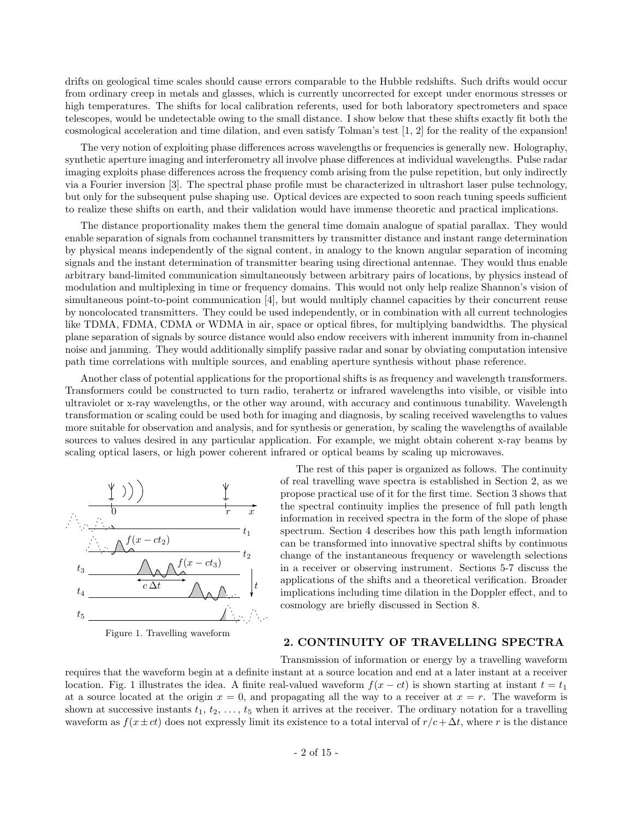drifts on geological time scales should cause errors comparable to the Hubble redshifts. Such drifts would occur from ordinary creep in metals and glasses, which is currently uncorrected for except under enormous stresses or high temperatures. The shifts for local calibration referents, used for both laboratory spectrometers and space telescopes, would be undetectable owing to the small distance. I show below that these shifts exactly fit both the cosmological acceleration and time dilation, and even satisfy Tolman's test [1, 2] for the reality of the expansion!

The very notion of exploiting phase differences across wavelengths or frequencies is generally new. Holography, synthetic aperture imaging and interferometry all involve phase differences at individual wavelengths. Pulse radar imaging exploits phase differences across the frequency comb arising from the pulse repetition, but only indirectly via a Fourier inversion [3]. The spectral phase profile must be characterized in ultrashort laser pulse technology, but only for the subsequent pulse shaping use. Optical devices are expected to soon reach tuning speeds sufficient to realize these shifts on earth, and their validation would have immense theoretic and practical implications.

The distance proportionality makes them the general time domain analogue of spatial parallax. They would enable separation of signals from cochannel transmitters by transmitter distance and instant range determination by physical means independently of the signal content, in analogy to the known angular separation of incoming signals and the instant determination of transmitter bearing using directional antennae. They would thus enable arbitrary band-limited communication simultaneously between arbitrary pairs of locations, by physics instead of modulation and multiplexing in time or frequency domains. This would not only help realize Shannon's vision of simultaneous point-to-point communication [4], but would multiply channel capacities by their concurrent reuse by noncolocated transmitters. They could be used independently, or in combination with all current technologies like TDMA, FDMA, CDMA or WDMA in air, space or optical fibres, for multiplying bandwidths. The physical plane separation of signals by source distance would also endow receivers with inherent immunity from in-channel noise and jamming. They would additionally simplify passive radar and sonar by obviating computation intensive path time correlations with multiple sources, and enabling aperture synthesis without phase reference.

Another class of potential applications for the proportional shifts is as frequency and wavelength transformers. Transformers could be constructed to turn radio, terahertz or infrared wavelengths into visible, or visible into ultraviolet or x-ray wavelengths, or the other way around, with accuracy and continuous tunability. Wavelength transformation or scaling could be used both for imaging and diagnosis, by scaling received wavelengths to values more suitable for observation and analysis, and for synthesis or generation, by scaling the wavelengths of available sources to values desired in any particular application. For example, we might obtain coherent x-ray beams by scaling optical lasers, or high power coherent infrared or optical beams by scaling up microwaves.



Figure 1. Travelling waveform

The rest of this paper is organized as follows. The continuity of real travelling wave spectra is established in Section 2, as we propose practical use of it for the first time. Section 3 shows that the spectral continuity implies the presence of full path length information in received spectra in the form of the slope of phase spectrum. Section 4 describes how this path length information can be transformed into innovative spectral shifts by continuous change of the instantaneous frequency or wavelength selections in a receiver or observing instrument. Sections 5-7 discuss the applications of the shifts and a theoretical verification. Broader implications including time dilation in the Doppler effect, and to cosmology are briefly discussed in Section 8.

## 2. CONTINUITY OF TRAVELLING SPECTRA

Transmission of information or energy by a travelling waveform requires that the waveform begin at a definite instant at a source location and end at a later instant at a receiver location. Fig. 1 illustrates the idea. A finite real-valued waveform  $f(x - ct)$  is shown starting at instant  $t = t<sub>1</sub>$ at a source located at the origin  $x = 0$ , and propagating all the way to a receiver at  $x = r$ . The waveform is shown at successive instants  $t_1, t_2, \ldots, t_5$  when it arrives at the receiver. The ordinary notation for a travelling waveform as  $f(x \pm ct)$  does not expressly limit its existence to a total interval of  $r/c + \Delta t$ , where r is the distance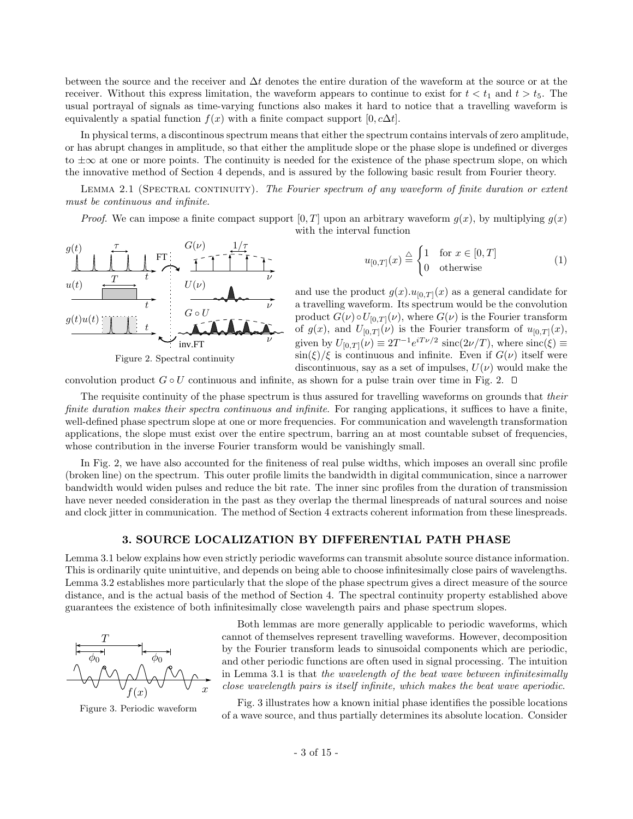between the source and the receiver and  $\Delta t$  denotes the entire duration of the waveform at the source or at the receiver. Without this express limitation, the waveform appears to continue to exist for  $t < t_1$  and  $t > t_5$ . The usual portrayal of signals as time-varying functions also makes it hard to notice that a travelling waveform is equivalently a spatial function  $f(x)$  with a finite compact support [0, c $\Delta t$ ].

In physical terms, a discontinous spectrum means that either the spectrum contains intervals of zero amplitude, or has abrupt changes in amplitude, so that either the amplitude slope or the phase slope is undefined or diverges to ±∞ at one or more points. The continuity is needed for the existence of the phase spectrum slope, on which the innovative method of Section 4 depends, and is assured by the following basic result from Fourier theory.

LEMMA 2.1 (SPECTRAL CONTINUITY). *The Fourier spectrum of any waveform of finite duration or extent must be continuous and infinite.*

*Proof.* We can impose a finite compact support [0, T] upon an arbitrary waveform  $q(x)$ , by multiplying  $q(x)$ 

with the interval function





and use the product  $g(x).u_{[0,T]}(x)$  as a general candidate for a travelling waveform. Its spectrum would be the convolution product  $G(\nu) \circ U_{[0,T]}(\nu)$ , where  $G(\nu)$  is the Fourier transform of  $g(x)$ , and  $U_{[0,T]}(\nu)$  is the Fourier transform of  $u_{[0,T]}(x)$ , given by  $U_{[0,T]}(\nu) \equiv 2T^{-1}e^{iT\nu/2} \operatorname{sinc}(2\nu/T)$ , where  $\operatorname{sinc}(\xi) \equiv$  $\sin(\xi)/\xi$  is continuous and infinite. Even if  $G(\nu)$  itself were discontinuous, say as a set of impulses,  $U(\nu)$  would make the

convolution product  $G \circ U$  continuous and infinite, as shown for a pulse train over time in Fig. 2.  $\Box$ 

The requisite continuity of the phase spectrum is thus assured for travelling waveforms on grounds that *their finite duration makes their spectra continuous and infinite*. For ranging applications, it suffices to have a finite, well-defined phase spectrum slope at one or more frequencies. For communication and wavelength transformation applications, the slope must exist over the entire spectrum, barring an at most countable subset of frequencies, whose contribution in the inverse Fourier transform would be vanishingly small.

In Fig. 2, we have also accounted for the finiteness of real pulse widths, which imposes an overall sinc profile (broken line) on the spectrum. This outer profile limits the bandwidth in digital communication, since a narrower bandwidth would widen pulses and reduce the bit rate. The inner sinc profiles from the duration of transmission have never needed consideration in the past as they overlap the thermal linespreads of natural sources and noise and clock jitter in communication. The method of Section 4 extracts coherent information from these linespreads.

### 3. SOURCE LOCALIZATION BY DIFFERENTIAL PATH PHASE

Lemma 3.1 below explains how even strictly periodic waveforms can transmit absolute source distance information. This is ordinarily quite unintuitive, and depends on being able to choose infinitesimally close pairs of wavelengths. Lemma 3.2 establishes more particularly that the slope of the phase spectrum gives a direct measure of the source distance, and is the actual basis of the method of Section 4. The spectral continuity property established above guarantees the existence of both infinitesimally close wavelength pairs and phase spectrum slopes.



Figure 3. Periodic waveform

Both lemmas are more generally applicable to periodic waveforms, which cannot of themselves represent travelling waveforms. However, decomposition by the Fourier transform leads to sinusoidal components which are periodic, and other periodic functions are often used in signal processing. The intuition in Lemma 3.1 is that *the wavelength of the beat wave between infinitesimally close wavelength pairs is itself infinite, which makes the beat wave aperiodic*.

Fig. 3 illustrates how a known initial phase identifies the possible locations of a wave source, and thus partially determines its absolute location. Consider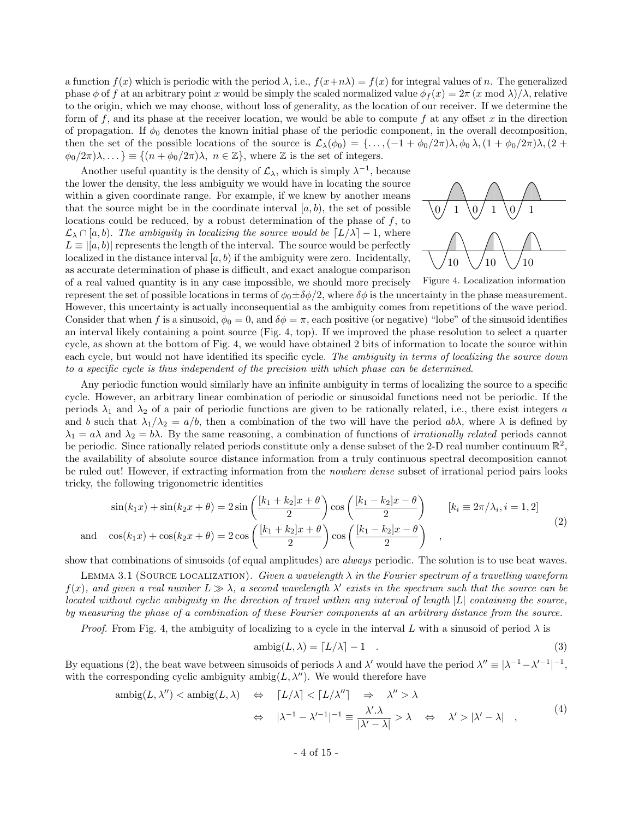a function  $f(x)$  which is periodic with the period  $\lambda$ , i.e.,  $f(x+n\lambda) = f(x)$  for integral values of n. The generalized phase  $\phi$  of f at an arbitrary point x would be simply the scaled normalized value  $\phi_f(x) = 2\pi (x \mod \lambda)/\lambda$ , relative to the origin, which we may choose, without loss of generality, as the location of our receiver. If we determine the form of f, and its phase at the receiver location, we would be able to compute f at any offset x in the direction of propagation. If  $\phi_0$  denotes the known initial phase of the periodic component, in the overall decomposition, then the set of the possible locations of the source is  $\mathcal{L}_{\lambda}(\phi_0) = \{ \dots, (-1 + \phi_0/2\pi)\lambda, \phi_0\lambda, (1 + \phi_0/2\pi)\lambda, (2 + \phi_0/2\pi)\lambda,$  $\phi_0/2\pi\lambda,\ldots\} \equiv \{(n+\phi_0/2\pi)\lambda, n \in \mathbb{Z}\},\$  where  $\mathbb Z$  is the set of integers.

Another useful quantity is the density of  $\mathcal{L}_{\lambda}$ , which is simply  $\lambda^{-1}$ , because the lower the density, the less ambiguity we would have in locating the source within a given coordinate range. For example, if we knew by another means that the source might be in the coordinate interval  $[a,b)$ , the set of possible locations could be reduced, by a robust determination of the phase of  $f$ , to  $\mathcal{L}_{\lambda} \cap [a,b]$ . The ambiguity in localizing the source would be  $[L/\lambda] - 1$ , where  $L \equiv |[a,b]|$  represents the length of the interval. The source would be perfectly localized in the distance interval  $[a,b)$  if the ambiguity were zero. Incidentally, as accurate determination of phase is difficult, and exact analogue comparison of a real valued quantity is in any case impossible, we should more precisely



Figure 4. Localization information

represent the set of possible locations in terms of  $\phi_0 \pm \delta \phi/2$ , where  $\delta \phi$  is the uncertainty in the phase measurement. However, this uncertainty is actually inconsequential as the ambiguity comes from repetitions of the wave period. Consider that when f is a sinusoid,  $\phi_0 = 0$ , and  $\delta \phi = \pi$ , each positive (or negative) "lobe" of the sinusoid identifies an interval likely containing a point source (Fig. 4, top). If we improved the phase resolution to select a quarter cycle, as shown at the bottom of Fig. 4, we would have obtained 2 bits of information to locate the source within each cycle, but would not have identified its specific cycle. *The ambiguity in terms of localizing the source down to a specific cycle is thus independent of the precision with which phase can be determined*.

Any periodic function would similarly have an infinite ambiguity in terms of localizing the source to a specific cycle. However, an arbitrary linear combination of periodic or sinusoidal functions need not be periodic. If the periods  $\lambda_1$  and  $\lambda_2$  of a pair of periodic functions are given to be rationally related, i.e., there exist integers a and b such that  $\lambda_1/\lambda_2 = a/b$ , then a combination of the two will have the period  $ab\lambda$ , where  $\lambda$  is defined by  $\lambda_1 = a\lambda$  and  $\lambda_2 = b\lambda$ . By the same reasoning, a combination of functions of *irrationally related* periods cannot be periodic. Since rationally related periods constitute only a dense subset of the 2-D real number continuum  $\mathbb{R}^2$ , the availability of absolute source distance information from a truly continuous spectral decomposition cannot be ruled out! However, if extracting information from the *nowhere dense* subset of irrational period pairs looks tricky, the following trigonometric identities

$$
\sin(k_1x) + \sin(k_2x + \theta) = 2\sin\left(\frac{[k_1+k_2]x+\theta}{2}\right)\cos\left(\frac{[k_1-k_2]x-\theta}{2}\right) \qquad [k_i \equiv 2\pi/\lambda_i, i = 1, 2]
$$
  
and 
$$
\cos(k_1x) + \cos(k_2x + \theta) = 2\cos\left(\frac{[k_1+k_2]x+\theta}{2}\right)\cos\left(\frac{[k_1-k_2]x-\theta}{2}\right) ,
$$
 (2)

show that combinations of sinusoids (of equal amplitudes) are *always* periodic. The solution is to use beat waves.

Lemma 3.1 (Source localization). *Given a wavelength* λ *in the Fourier spectrum of a travelling waveform*  $f(x)$ , and given a real number  $L \gg \lambda$ , a second wavelength  $\lambda'$  exists in the spectrum such that the source can be *located without cyclic ambiguity in the direction of travel within any interval of length* |L| *containing the source, by measuring the phase of a combination of these Fourier components at an arbitrary distance from the source.*

*Proof.* From Fig. 4, the ambiguity of localizing to a cycle in the interval L with a sinusoid of period  $\lambda$  is

$$
ambig(L, \lambda) = \lceil L/\lambda \rceil - 1 \tag{3}
$$

By equations (2), the beat wave between sinusoids of periods  $\lambda$  and  $\lambda'$  would have the period  $\lambda'' \equiv |\lambda^{-1} - \lambda'^{-1}|^{-1}$ , with the corresponding cyclic ambiguity ambig $(L, \lambda'')$ . We would therefore have

$$
\begin{array}{rcl}\n\text{ambig}(L, \lambda'') < \text{ambig}(L, \lambda) & \Leftrightarrow & \lceil L/\lambda \rceil < \lceil L/\lambda'' \rceil & \Rightarrow & \lambda'' > \lambda \\
& \Leftrightarrow & |\lambda^{-1} - \lambda'^{-1}|^{-1} \equiv \frac{\lambda'.\lambda}{|\lambda' - \lambda|} > \lambda & \Leftrightarrow & \lambda' > |\lambda' - \lambda| \quad,\n\end{array} \tag{4}
$$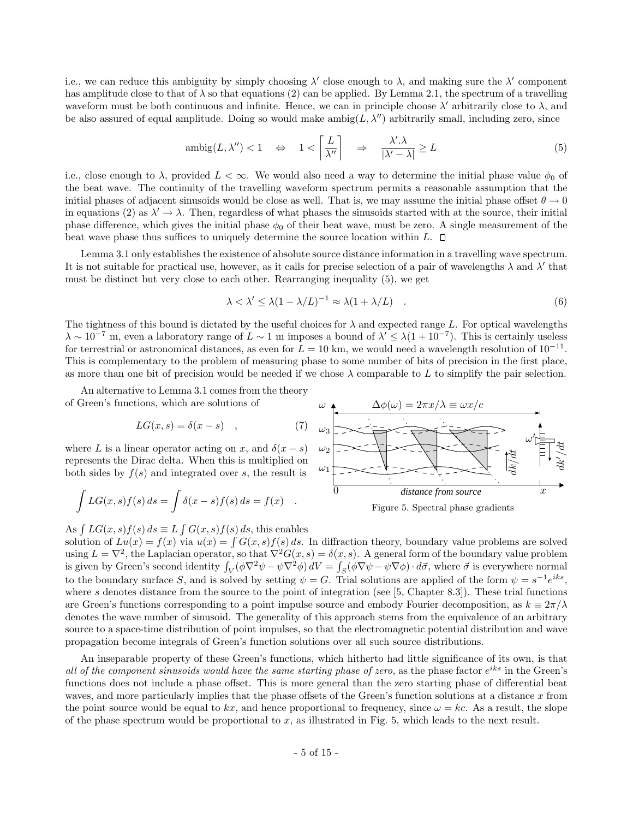i.e., we can reduce this ambiguity by simply choosing  $\lambda'$  close enough to  $\lambda$ , and making sure the  $\lambda'$  component has amplitude close to that of  $\lambda$  so that equations (2) can be applied. By Lemma 2.1, the spectrum of a travelling waveform must be both continuous and infinite. Hence, we can in principle choose  $\lambda'$  arbitrarily close to  $\lambda$ , and be also assured of equal amplitude. Doing so would make ambig $(L, \lambda'')$  arbitrarily small, including zero, since

$$
\mathrm{ambig}(L, \lambda'') < 1 \quad \Leftrightarrow \quad 1 < \left\lceil \frac{L}{\lambda''} \right\rceil \quad \Rightarrow \quad \frac{\lambda'.\lambda}{|\lambda' - \lambda|} \ge L \tag{5}
$$

i.e., close enough to  $\lambda$ , provided  $L < \infty$ . We would also need a way to determine the initial phase value  $\phi_0$  of the beat wave. The continuity of the travelling waveform spectrum permits a reasonable assumption that the initial phases of adjacent sinusoids would be close as well. That is, we may assume the initial phase offset  $\theta \to 0$ in equations (2) as  $\lambda' \to \lambda$ . Then, regardless of what phases the sinusoids started with at the source, their initial phase difference, which gives the initial phase  $\phi_0$  of their beat wave, must be zero. A single measurement of the beat wave phase thus suffices to uniquely determine the source location within  $L$ .  $\square$ 

Lemma 3.1 only establishes the existence of absolute source distance information in a travelling wave spectrum. It is not suitable for practical use, however, as it calls for precise selection of a pair of wavelengths  $\lambda$  and  $\lambda'$  that must be distinct but very close to each other. Rearranging inequality (5), we get

$$
\lambda < \lambda' \le \lambda (1 - \lambda/L)^{-1} \approx \lambda (1 + \lambda/L) \tag{6}
$$

The tightness of this bound is dictated by the useful choices for  $\lambda$  and expected range L. For optical wavelengths  $\lambda \sim 10^{-7}$  m, even a laboratory range of  $L \sim 1$  m imposes a bound of  $\lambda' \leq \lambda(1+10^{-7})$ . This is certainly useless for terrestrial or astronomical distances, as even for  $L = 10$  km, we would need a wavelength resolution of  $10^{-11}$ . This is complementary to the problem of measuring phase to some number of bits of precision in the first place, as more than one bit of precision would be needed if we chose  $\lambda$  comparable to L to simplify the pair selection.

An alternative to Lemma 3.1 comes from the theory of Green's functions, which are solutions of

$$
LG(x,s) = \delta(x-s) \quad , \tag{7}
$$

where L is a linear operator acting on x, and  $\delta(x-s)$ represents the Dirac delta. When this is multiplied on both sides by  $f(s)$  and integrated over s, the result is

$$
\int LG(x, s) f(s) ds = \int \delta(x - s) f(s) ds = f(x) .
$$

0 *distance from source* x  $\omega_3$  $\omega_2$  $\omega_1$  $2\pi x/\lambda \equiv \omega x/c$ dk ′/dt dk/dt ω ′ Figure 5. Spectral phase gradients

As  $\int LG(x, s) f(s) ds \equiv L \int G(x, s) f(s) ds$ , this enables

solution of  $Lu(x) = f(x)$  via  $u(x) = \int G(x, s) f(s) ds$ . In diffraction theory, boundary value problems are solved using  $L = \nabla^2$ , the Laplacian operator, so that  $\nabla^2 G(x, s) = \delta(x, s)$ . A general form of the boundary value problem is given by Green's second identity  $\int_V (\phi \nabla^2 \psi - \psi \nabla^2 \phi) dV = \int_S (\phi \nabla \psi - \psi \nabla \phi) \cdot d\vec{\sigma}$ , where  $\vec{\sigma}$  is everywhere normal to the boundary surface S, and is solved by setting  $\psi = G$ . Trial solutions are applied of the form  $\psi = s^{-1}e^{iks}$ , where s denotes distance from the source to the point of integration (see  $[5,$  Chapter 8.3]). These trial functions are Green's functions corresponding to a point impulse source and embody Fourier decomposition, as  $k \equiv 2\pi/\lambda$ denotes the wave number of sinusoid. The generality of this approach stems from the equivalence of an arbitrary source to a space-time distribution of point impulses, so that the electromagnetic potential distribution and wave propagation become integrals of Green's function solutions over all such source distributions.

An inseparable property of these Green's functions, which hitherto had little significance of its own, is that all of the component sinusoids would have the same starting phase of zero, as the phase factor  $e^{iks}$  in the Green's functions does not include a phase offset. This is more general than the zero starting phase of differential beat waves, and more particularly implies that the phase offsets of the Green's function solutions at a distance  $x$  from the point source would be equal to kx, and hence proportional to frequency, since  $\omega = kc$ . As a result, the slope of the phase spectrum would be proportional to x, as illustrated in Fig. 5, which leads to the next result.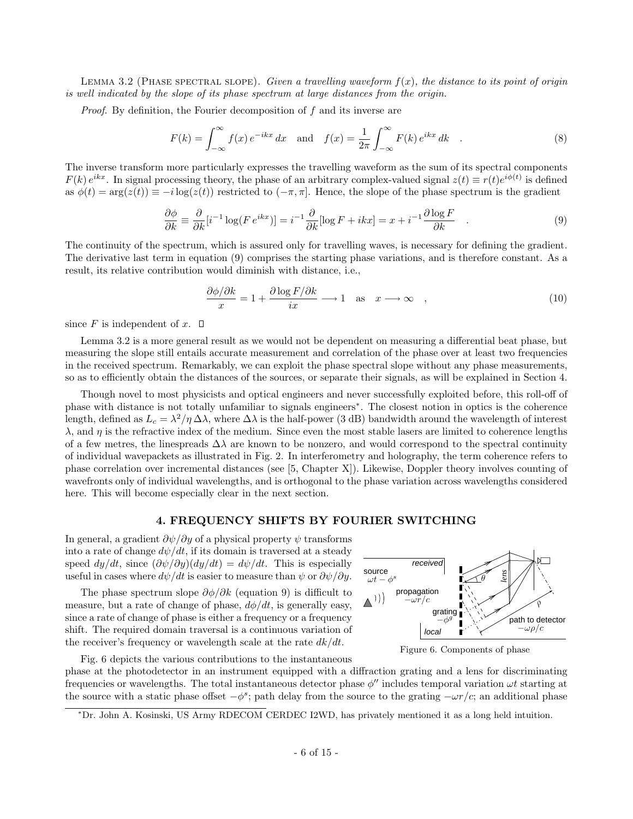Lemma 3.2 (Phase spectral slope). *Given a travelling waveform* f(x)*, the distance to its point of origin is well indicated by the slope of its phase spectrum at large distances from the origin.*

*Proof.* By definition, the Fourier decomposition of f and its inverse are

$$
F(k) = \int_{-\infty}^{\infty} f(x) e^{-ikx} dx \text{ and } f(x) = \frac{1}{2\pi} \int_{-\infty}^{\infty} F(k) e^{ikx} dk .
$$
 (8)

The inverse transform more particularly expresses the travelling waveform as the sum of its spectral components  $F(k) e^{ikx}$ . In signal processing theory, the phase of an arbitrary complex-valued signal  $z(t) \equiv r(t)e^{i\phi(t)}$  is defined as  $\phi(t) = \arg(z(t)) \equiv -i \log(z(t))$  restricted to  $(-\pi, \pi]$ . Hence, the slope of the phase spectrum is the gradient

$$
\frac{\partial \phi}{\partial k} \equiv \frac{\partial}{\partial k} [i^{-1} \log(F e^{ikx})] = i^{-1} \frac{\partial}{\partial k} [\log F + ikx] = x + i^{-1} \frac{\partial \log F}{\partial k} \quad . \tag{9}
$$

The continuity of the spectrum, which is assured only for travelling waves, is necessary for defining the gradient. The derivative last term in equation (9) comprises the starting phase variations, and is therefore constant. As a result, its relative contribution would diminish with distance, i.e.,

$$
\frac{\partial \phi/\partial k}{x} = 1 + \frac{\partial \log F/\partial k}{ix} \longrightarrow 1 \quad \text{as} \quad x \longrightarrow \infty \quad , \tag{10}
$$

since F is independent of x.  $\square$ 

Lemma 3.2 is a more general result as we would not be dependent on measuring a differential beat phase, but measuring the slope still entails accurate measurement and correlation of the phase over at least two frequencies in the received spectrum. Remarkably, we can exploit the phase spectral slope without any phase measurements, so as to efficiently obtain the distances of the sources, or separate their signals, as will be explained in Section 4.

Though novel to most physicists and optical engineers and never successfully exploited before, this roll-off of phase with distance is not totally unfamiliar to signals engineers<sup>\*</sup>. The closest notion in optics is the coherence length, defined as  $L_c = \lambda^2/\eta \Delta\lambda$ , where  $\Delta\lambda$  is the half-power (3 dB) bandwidth around the wavelength of interest  $\lambda$ , and  $\eta$  is the refractive index of the medium. Since even the most stable lasers are limited to coherence lengths of a few metres, the linespreads  $\Delta\lambda$  are known to be nonzero, and would correspond to the spectral continuity of individual wavepackets as illustrated in Fig. 2. In interferometry and holography, the term coherence refers to phase correlation over incremental distances (see [5, Chapter X]). Likewise, Doppler theory involves counting of wavefronts only of individual wavelengths, and is orthogonal to the phase variation across wavelengths considered here. This will become especially clear in the next section.

#### 4. FREQUENCY SHIFTS BY FOURIER SWITCHING

In general, a gradient  $\partial \psi / \partial y$  of a physical property  $\psi$  transforms into a rate of change  $d\psi/dt$ , if its domain is traversed at a steady speed  $dy/dt$ , since  $(\partial \psi/\partial y)(dy/dt) = d\psi/dt$ . This is especially useful in cases where  $d\psi/dt$  is easier to measure than  $\psi$  or  $\partial \psi/\partial y$ .

The phase spectrum slope  $\partial \phi / \partial k$  (equation 9) is difficult to measure, but a rate of change of phase,  $d\phi/dt$ , is generally easy, since a rate of change of phase is either a frequency or a frequency shift. The required domain traversal is a continuous variation of the receiver's frequency or wavelength scale at the rate  $dk/dt$ .



Figure 6. Components of phase

Fig. 6 depicts the various contributions to the instantaneous

phase at the photodetector in an instrument equipped with a diffraction grating and a lens for discriminating frequencies or wavelengths. The total instantaneous detector phase  $\phi''$  includes temporal variation  $\omega t$  starting at the source with a static phase offset  $-\phi^s$ ; path delay from the source to the grating  $-\omega r/c$ ; an additional phase

<sup>∗</sup>Dr. John A. Kosinski, US Army RDECOM CERDEC I2WD, has privately mentioned it as a long held intuition.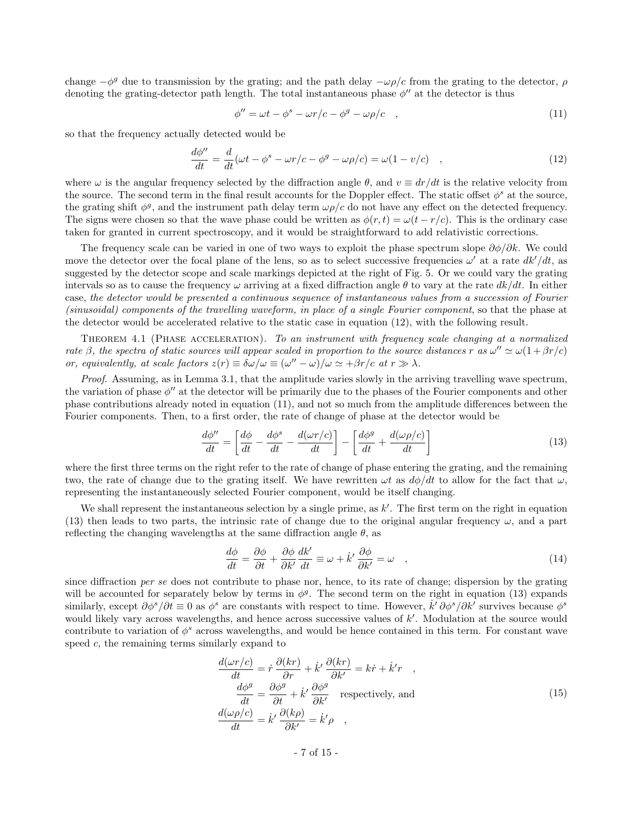change  $-\phi^g$  due to transmission by the grating; and the path delay  $-\omega\rho/c$  from the grating to the detector,  $\rho$ denoting the grating-detector path length. The total instantaneous phase  $\phi''$  at the detector is thus

$$
\phi'' = \omega t - \phi^s - \omega r/c - \phi^g - \omega \rho/c \quad , \tag{11}
$$

so that the frequency actually detected would be

$$
\frac{d\phi''}{dt} = \frac{d}{dt}(\omega t - \phi^s - \omega r/c - \phi^g - \omega \rho/c) = \omega (1 - v/c) \quad , \tag{12}
$$

where  $\omega$  is the angular frequency selected by the diffraction angle  $\theta$ , and  $v \equiv dr/dt$  is the relative velocity from the source. The second term in the final result accounts for the Doppler effect. The static offset  $\phi^s$  at the source, the grating shift  $\phi^g$ , and the instrument path delay term  $\omega \rho/c$  do not have any effect on the detected frequency. The signs were chosen so that the wave phase could be written as  $\phi(r,t) = \omega(t - r/c)$ . This is the ordinary case taken for granted in current spectroscopy, and it would be straightforward to add relativistic corrections.

The frequency scale can be varied in one of two ways to exploit the phase spectrum slope  $\partial \phi / \partial k$ . We could move the detector over the focal plane of the lens, so as to select successive frequencies  $\omega'$  at a rate  $dk'/dt$ , as suggested by the detector scope and scale markings depicted at the right of Fig. 5. Or we could vary the grating intervals so as to cause the frequency  $\omega$  arriving at a fixed diffraction angle  $\theta$  to vary at the rate  $dk/dt$ . In either case, *the detector would be presented a continuous sequence of instantaneous values from a succession of Fourier (sinusoidal) components of the travelling waveform, in place of a single Fourier component*, so that the phase at the detector would be accelerated relative to the static case in equation (12), with the following result.

Theorem 4.1 (Phase acceleration). *To an instrument with frequency scale changing at a normalized rate*  $\beta$ , the spectra of static sources will appear scaled in proportion to the source distances r as  $\omega'' \simeq \omega(1 + \beta r/c)$ *or, equivalently, at scale factors*  $z(r) \equiv \delta \omega / \omega \equiv (\omega'' - \omega) / \omega \simeq +\beta r / c$  *at*  $r \gg \lambda$ *.* 

*Proof*. Assuming, as in Lemma 3.1, that the amplitude varies slowly in the arriving travelling wave spectrum, the variation of phase  $\phi''$  at the detector will be primarily due to the phases of the Fourier components and other phase contributions already noted in equation (11), and not so much from the amplitude differences between the Fourier components. Then, to a first order, the rate of change of phase at the detector would be

$$
\frac{d\phi''}{dt} = \left[\frac{d\phi}{dt} - \frac{d\phi^s}{dt} - \frac{d(\omega r/c)}{dt}\right] - \left[\frac{d\phi^g}{dt} + \frac{d(\omega \rho/c)}{dt}\right]
$$
\n(13)

where the first three terms on the right refer to the rate of change of phase entering the grating, and the remaining two, the rate of change due to the grating itself. We have rewritten  $\omega t$  as  $d\phi/dt$  to allow for the fact that  $\omega$ . representing the instantaneously selected Fourier component, would be itself changing.

We shall represent the instantaneous selection by a single prime, as  $k'$ . The first term on the right in equation (13) then leads to two parts, the intrinsic rate of change due to the original angular frequency  $\omega$ , and a part reflecting the changing wavelengths at the same diffraction angle  $\theta$ , as

$$
\frac{d\phi}{dt} = \frac{\partial\phi}{\partial t} + \frac{\partial\phi}{\partial k'}\frac{dk'}{dt} \equiv \omega + \dot{k}'\frac{\partial\phi}{\partial k'} = \omega \quad , \tag{14}
$$

since diffraction *per se* does not contribute to phase nor, hence, to its rate of change; dispersion by the grating will be accounted for separately below by terms in  $\phi^g$ . The second term on the right in equation (13) expands similarly, except  $\partial \phi^s / \partial t \equiv 0$  as  $\phi^s$  are constants with respect to time. However,  $\dot{k}' \partial \phi^s / \partial k'$  survives because  $\phi^s$ would likely vary across wavelengths, and hence across successive values of k'. Modulation at the source would contribute to variation of  $\phi^s$  across wavelengths, and would be hence contained in this term. For constant wave speed  $c$ , the remaining terms similarly expand to

$$
\frac{d(\omega r/c)}{dt} = \dot{r}\frac{\partial (kr)}{\partial r} + \dot{k}'\frac{\partial (kr)}{\partial k'} = k\dot{r} + \dot{k}'r \quad ,
$$
  

$$
\frac{d\phi^g}{dt} = \frac{\partial \phi^g}{\partial t} + \dot{k}'\frac{\partial \phi^g}{\partial k'} \quad \text{respectively, and}
$$
  

$$
\frac{d(\omega \rho/c)}{dt} = \dot{k}'\frac{\partial (k\rho)}{\partial k'} = \dot{k}'\rho \quad ,
$$
 (15)

- 7 of 15 -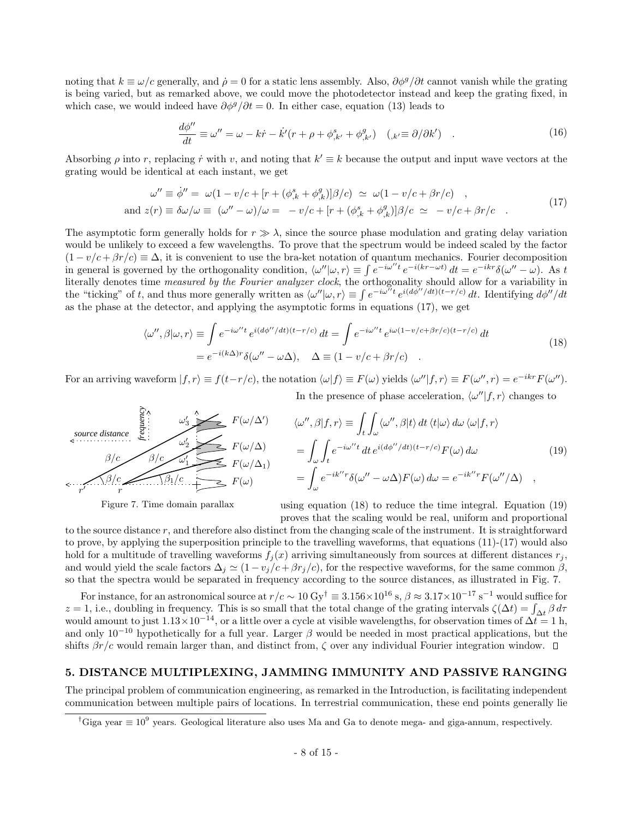noting that  $k \equiv \omega/c$  generally, and  $\dot{\rho} = 0$  for a static lens assembly. Also,  $\partial \phi^g / \partial t$  cannot vanish while the grating is being varied, but as remarked above, we could move the photodetector instead and keep the grating fixed, in which case, we would indeed have  $\partial \phi^g / \partial t = 0$ . In either case, equation (13) leads to

$$
\frac{d\phi''}{dt} \equiv \omega'' = \omega - kr - \dot{k}'(r + \rho + \phi^s_{,k'} + \phi^g_{,k'}) \quad (k = \partial/\partial k') \quad . \tag{16}
$$

Absorbing  $\rho$  into r, replacing r with v, and noting that  $k' \equiv k$  because the output and input wave vectors at the grating would be identical at each instant, we get

$$
\omega'' \equiv \dot{\phi}'' = \omega(1 - v/c + [r + (\phi_{,k}^s + \phi_{,k}^g)]\beta/c) \simeq \omega(1 - v/c + \beta r/c) ,
$$
  
and 
$$
z(r) \equiv \delta\omega/\omega \equiv (\omega'' - \omega)/\omega = -v/c + [r + (\phi_{,k}^s + \phi_{,k}^g)]\beta/c \simeq -v/c + \beta r/c .
$$
 (17)

The asymptotic form generally holds for  $r \gg \lambda$ , since the source phase modulation and grating delay variation would be unlikely to exceed a few wavelengths. To prove that the spectrum would be indeed scaled by the factor  $(1 - v/c + \beta r/c) \equiv \Delta$ , it is convenient to use the bra-ket notation of quantum mechanics. Fourier decomposition in general is governed by the orthogonality condition,  $\langle \omega'' | \omega, r \rangle \equiv \int e^{-i\omega''t} e^{-i(kr-\omega t)} dt = e^{-ikr} \delta(\omega''-\omega)$ . As t literally denotes time *measured by the Fourier analyzer clock*, the orthogonality should allow for a variability in the "ticking" of t, and thus more generally written as  $\langle \omega'' | \omega, r \rangle \equiv \int e^{-i\omega''t} e^{i(d\phi''/dt)(t-r/c)} dt$ . Identifying  $d\phi''/dt$ as the phase at the detector, and applying the asymptotic forms in equations (17), we get

$$
\langle \omega'', \beta | \omega, r \rangle \equiv \int e^{-i\omega''t} e^{i(d\phi''/dt)(t-r/c)} dt = \int e^{-i\omega''t} e^{i\omega(1-v/c+\beta r/c)(t-r/c)} dt
$$
  
= 
$$
e^{-i(k\Delta)r} \delta(\omega'' - \omega\Delta), \quad \Delta \equiv (1 - v/c + \beta r/c) .
$$
 (18)

For an arriving waveform  $|f,r\rangle \equiv f(t-r/c)$ , the notation  $\langle \omega | f \rangle \equiv F(\omega)$  yields  $\langle \omega'' | f,r \rangle \equiv F(\omega'',r) = e^{-ikr} F(\omega'').$ In the presence of phase acceleration,  $\langle \omega'' | f, r \rangle$  changes to

$$
\text{source distance}
$$
\n
$$
\text{source distance}
$$
\n
$$
\text{source distance}
$$
\n
$$
\text{source distance}
$$
\n
$$
\text{source distance}
$$
\n
$$
\text{source distance}
$$
\n
$$
\text{source distance}
$$
\n
$$
\text{source distance}
$$
\n
$$
\text{source distance}
$$
\n
$$
\text{source distance}
$$
\n
$$
\text{source distance}
$$
\n
$$
\text{source distance}
$$
\n
$$
\text{source distance}
$$
\n
$$
\text{source distance}
$$
\n
$$
\text{source distance}
$$
\n
$$
\text{source distance}
$$
\n
$$
\text{source distance}
$$
\n
$$
\text{source distance}
$$
\n
$$
\text{true}
$$
\n
$$
\text{true}
$$
\n
$$
F(\omega/\Delta)
$$
\n
$$
= \int_{\omega} \int_{t} e^{-i\omega''t} dt \, e^{i(d\phi''/dt)(t-r/c)} F(\omega) \, d\omega
$$
\n
$$
= \int_{\omega} e^{-ik''r} \delta(\omega'' - \omega \Delta) F(\omega) \, d\omega = e^{-ik''r} F(\omega''/\Delta) \quad , \tag{19}
$$

Figure 7. Time domain parallax

using equation (18) to reduce the time integral. Equation (19) proves that the scaling would be real, uniform and proportional

to the source distance  $r$ , and therefore also distinct from the changing scale of the instrument. It is straightforward to prove, by applying the superposition principle to the travelling waveforms, that equations (11)-(17) would also hold for a multitude of travelling waveforms  $f_i(x)$  arriving simultaneously from sources at different distances  $r_j$ , and would yield the scale factors  $\Delta_j \simeq (1-v_j/c+\beta r_j/c)$ , for the respective waveforms, for the same common  $\beta$ , so that the spectra would be separated in frequency according to the source distances, as illustrated in Fig. 7.

For instance, for an astronomical source at  $r/c \sim 10 \text{ Gy}^\dagger \equiv 3.156 \times 10^{16} \text{ s}, \beta \approx 3.17 \times 10^{-17} \text{ s}^{-1}$  would suffice for z = 1, i.e., doubling in frequency. This is so small that the total change of the grating intervals  $\zeta(\Delta t) = \int_{\Delta t} \beta d\tau$ would amount to just  $1.13\times10^{-14}$ , or a little over a cycle at visible wavelengths, for observation times of  $\Delta t = 1$  h, and only  $10^{-10}$  hypothetically for a full year. Larger  $\beta$  would be needed in most practical applications, but the shifts  $\beta r/c$  would remain larger than, and distinct from,  $\zeta$  over any individual Fourier integration window.  $\Box$ 

#### 5. DISTANCE MULTIPLEXING, JAMMING IMMUNITY AND PASSIVE RANGING

The principal problem of communication engineering, as remarked in the Introduction, is facilitating independent communication between multiple pairs of locations. In terrestrial communication, these end points generally lie

<sup>&</sup>lt;sup>†</sup>Giga year  $\equiv 10^9$  years. Geological literature also uses Ma and Ga to denote mega- and giga-annum, respectively.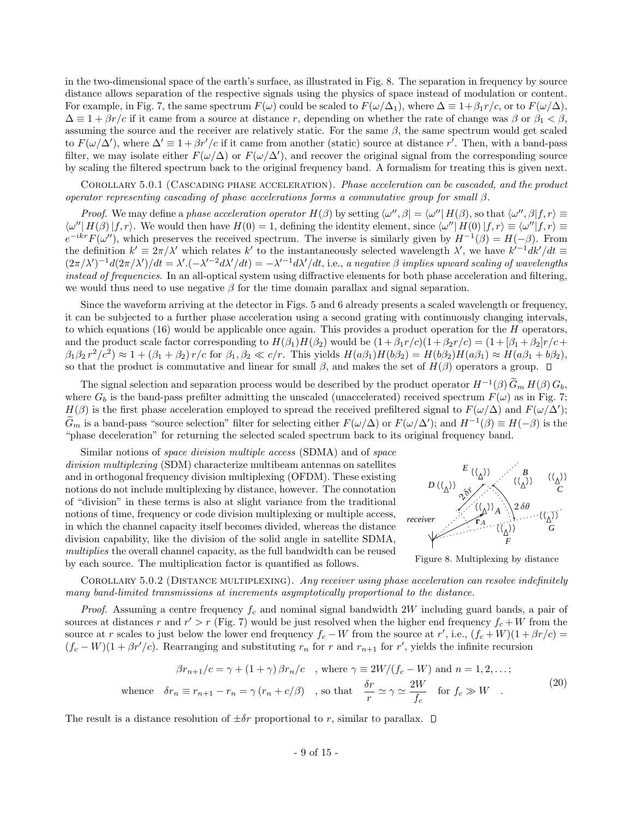in the two-dimensional space of the earth's surface, as illustrated in Fig. 8. The separation in frequency by source distance allows separation of the respective signals using the physics of space instead of modulation or content. For example, in Fig. 7, the same spectrum  $F(\omega)$  could be scaled to  $F(\omega/\Delta_1)$ , where  $\Delta \equiv 1+\beta_1r/c$ , or to  $F(\omega/\Delta)$ ,  $\Delta \equiv 1 + \beta r/c$  if it came from a source at distance r, depending on whether the rate of change was  $\beta$  or  $\beta_1 < \beta$ , assuming the source and the receiver are relatively static. For the same  $\beta$ , the same spectrum would get scaled to  $F(\omega/\Delta')$ , where  $\Delta' \equiv 1 + \beta r'/c$  if it came from another (static) source at distance r'. Then, with a band-pass filter, we may isolate either  $F(\omega/\Delta)$  or  $F(\omega/\Delta')$ , and recover the original signal from the corresponding source by scaling the filtered spectrum back to the original frequency band. A formalism for treating this is given next.

Corollary 5.0.1 (Cascading phase acceleration). *Phase acceleration can be cascaded, and the product operator representing cascading of phase accelerations forms a commutative group for small* β*.*

*Proof.* We may define a *phase acceleration operator*  $H(\beta)$  by setting  $\langle \omega'', \beta | = \langle \omega'' | H(\beta) \rangle$ , so that  $\langle \omega'', \beta | f, r \rangle \equiv$  $\langle \omega''| H(\beta) | f, r \rangle$ . We would then have  $H(0) = 1$ , defining the identity element, since  $\langle \omega''| H(0) | f, r \rangle \equiv \langle \omega''| f, r \rangle \equiv$  $e^{-ikr}F(\omega'')$ , which preserves the received spectrum. The inverse is similarly given by  $H^{-1}(\beta) = H(-\beta)$ . From the definition  $k' \equiv 2\pi/\lambda'$  which relates k' to the instantaneously selected wavelength  $\lambda'$ , we have  $k'^{-1}dk'/dt \equiv$  $(2\pi/\lambda')^{-1}d(2\pi/\lambda')/dt = \lambda'$ . $(-\lambda'^{-2}d\lambda'/dt) = -\lambda'^{-1}d\lambda'/dt$ , i.e., *a negative*  $\beta$  *implies upward scaling of wavelengths instead of frequencies*. In an all-optical system using diffractive elements for both phase acceleration and filtering, we would thus need to use negative  $\beta$  for the time domain parallax and signal separation.

Since the waveform arriving at the detector in Figs. 5 and 6 already presents a scaled wavelength or frequency, it can be subjected to a further phase acceleration using a second grating with continuously changing intervals, to which equations  $(16)$  would be applicable once again. This provides a product operation for the H operators, and the product scale factor corresponding to  $H(\beta_1)H(\beta_2)$  would be  $(1+\beta_1r/c)(1+\beta_2r/c) = (1+[\beta_1+\beta_2]r/c +$  $\beta_1\beta_2 r^2/c^2 \approx 1 + (\beta_1 + \beta_2) r/c$  for  $\beta_1, \beta_2 \ll c/r$ . This yields  $H(a\beta_1)H(b\beta_2) = H(b\beta_2)H(a\beta_1) \approx H(a\beta_1 + b\beta_2)$ , so that the product is commutative and linear for small  $\beta$ , and makes the set of  $H(\beta)$  operators a group.  $\square$ 

The signal selection and separation process would be described by the product operator  $H^{-1}(\beta) \tilde{G}_m H(\beta) G_b$ , where  $G_b$  is the band-pass prefilter admitting the unscaled (unaccelerated) received spectrum  $F(\omega)$  as in Fig. 7;  $H(\beta)$  is the first phase acceleration employed to spread the received prefiltered signal to  $F(\omega/\Delta)$  and  $F(\omega/\Delta')$ ;  $\tilde{G}_m$  is a band-pass "source selection" filter for selecting either  $F(\omega/\Delta)$  or  $F(\omega/\Delta')$ ; and  $H^{-1}(\beta) \equiv H(-\beta)$  is the "phase deceleration" for returning the selected scaled spectrum back to its original frequency band.

Similar notions of *space division multiple access* (SDMA) and of *space division multiplexing* (SDM) characterize multibeam antennas on satellites and in orthogonal frequency division multiplexing (OFDM). These existing notions do not include multiplexing by distance, however. The connotation of "division" in these terms is also at slight variance from the traditional notions of time, frequency or code division multiplexing or multiple access, in which the channel capacity itself becomes divided, whereas the distance division capability, like the division of the solid angle in satellite SDMA, *multiplies* the overall channel capacity, as the full bandwidth can be reused by each source. The multiplication factor is quantified as follows.



Figure 8. Multiplexing by distance

Corollary 5.0.2 (Distance multiplexing). *Any receiver using phase acceleration can resolve indefinitely many band-limited transmissions at increments asymptotically proportional to the distance.*

*Proof.* Assuming a centre frequency  $f_c$  and nominal signal bandwidth 2W including guard bands, a pair of sources at distances r and  $r' > r$  (Fig. 7) would be just resolved when the higher end frequency  $f_c + W$  from the source at r scales to just below the lower end frequency  $f_c - W$  from the source at r', i.e.,  $(f_c + W)(1 + \beta r/c) =$  $(f_c - W)(1 + \beta r'/c)$ . Rearranging and substituting  $r_n$  for r and  $r_{n+1}$  for r', yields the infinite recursion

$$
\beta r_{n+1}/c = \gamma + (1+\gamma)\beta r_n/c \quad , \text{ where } \gamma \equiv 2W/(f_c - W) \text{ and } n = 1, 2, ...;
$$
  
whence  $\delta r_n \equiv r_{n+1} - r_n = \gamma (r_n + c/\beta)$ , so that  $\frac{\delta r}{r} \simeq \gamma \simeq \frac{2W}{f_c} \quad \text{for } f_c \gg W$  (20)

The result is a distance resolution of  $\pm \delta r$  proportional to r, similar to parallax.  $\Box$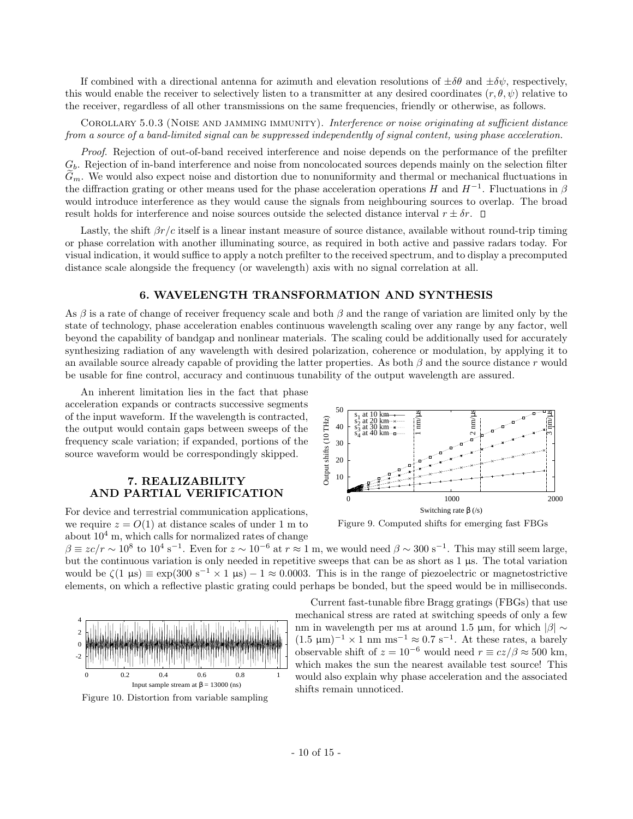If combined with a directional antenna for azimuth and elevation resolutions of  $\pm \delta \theta$  and  $\pm \delta \psi$ , respectively, this would enable the receiver to selectively listen to a transmitter at any desired coordinates  $(r, \theta, \psi)$  relative to the receiver, regardless of all other transmissions on the same frequencies, friendly or otherwise, as follows.

Corollary 5.0.3 (Noise and jamming immunity). *Interference or noise originating at sufficient distance from a source of a band-limited signal can be suppressed independently of signal content, using phase acceleration.*

*Proof*. Rejection of out-of-band received interference and noise depends on the performance of the prefilter  $G_b$ . Rejection of in-band interference and noise from noncolocated sources depends mainly on the selection filter  $\widetilde{G}_m$ . We would also expect noise and distortion due to nonuniformity and thermal or mechanical fluctuations in the diffraction grating or other means used for the phase acceleration operations H and  $H^{-1}$ . Fluctuations in  $\beta$ would introduce interference as they would cause the signals from neighbouring sources to overlap. The broad result holds for interference and noise sources outside the selected distance interval  $r \pm \delta r$ .  $\Box$ 

Lastly, the shift  $\beta r/c$  itself is a linear instant measure of source distance, available without round-trip timing or phase correlation with another illuminating source, as required in both active and passive radars today. For visual indication, it would suffice to apply a notch prefilter to the received spectrum, and to display a precomputed distance scale alongside the frequency (or wavelength) axis with no signal correlation at all.

## 6. WAVELENGTH TRANSFORMATION AND SYNTHESIS

As  $\beta$  is a rate of change of receiver frequency scale and both  $\beta$  and the range of variation are limited only by the state of technology, phase acceleration enables continuous wavelength scaling over any range by any factor, well beyond the capability of bandgap and nonlinear materials. The scaling could be additionally used for accurately synthesizing radiation of any wavelength with desired polarization, coherence or modulation, by applying it to an available source already capable of providing the latter properties. As both  $\beta$  and the source distance r would be usable for fine control, accuracy and continuous tunability of the output wavelength are assured.

An inherent limitation lies in the fact that phase acceleration expands or contracts successive segments of the input waveform. If the wavelength is contracted, the output would contain gaps between sweeps of the frequency scale variation; if expanded, portions of the source waveform would be correspondingly skipped.

## 7. REALIZABILITY AND PARTIAL VERIFICATION

For device and terrestrial communication applications, we require  $z = O(1)$  at distance scales of under 1 m to about  $10^4$  m, which calls for normalized rates of change



Figure 9. Computed shifts for emerging fast FBGs

 $\beta \equiv z c/r \sim 10^8$  to  $10^4$  s<sup>-1</sup>. Even for  $z \sim 10^{-6}$  at  $r \approx 1$  m, we would need  $\beta \sim 300$  s<sup>-1</sup>. This may still seem large, but the continuous variation is only needed in repetitive sweeps that can be as short as  $1 \mu s$ . The total variation would be  $\zeta(1 \text{ }\mu\text{s}) = \exp(300 \text{ s}^{-1} \times 1 \text{ }\mu\text{s}) - 1 \approx 0.0003$ . This is in the range of piezoelectric or magnetostrictive elements, on which a reflective plastic grating could perhaps be bonded, but the speed would be in milliseconds.



Figure 10. Distortion from variable sampling

Current fast-tunable fibre Bragg gratings (FBGs) that use mechanical stress are rated at switching speeds of only a few nm in wavelength per ms at around 1.5 µm, for which  $|\beta| \sim$ (1.5 µm)−<sup>1</sup> × 1 nm ms−<sup>1</sup> ≈ 0.7 s−<sup>1</sup> . At these rates, a barely observable shift of  $z = 10^{-6}$  would need  $r \equiv cz/\beta \approx 500$  km, which makes the sun the nearest available test source! This would also explain why phase acceleration and the associated shifts remain unnoticed.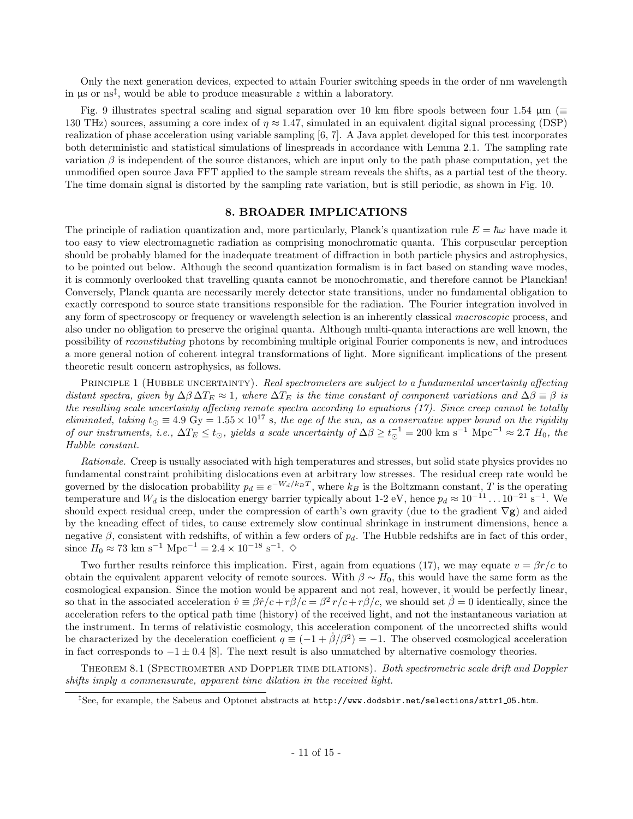Only the next generation devices, expected to attain Fourier switching speeds in the order of nm wavelength in  $\mu$ s or ns<sup>‡</sup>, would be able to produce measurable z within a laboratory.

Fig. 9 illustrates spectral scaling and signal separation over 10 km fibre spools between four 1.54  $\mu$ m (≡ 130 THz) sources, assuming a core index of  $\eta \approx 1.47$ , simulated in an equivalent digital signal processing (DSP) realization of phase acceleration using variable sampling [6, 7]. A Java applet developed for this test incorporates both deterministic and statistical simulations of linespreads in accordance with Lemma 2.1. The sampling rate variation  $\beta$  is independent of the source distances, which are input only to the path phase computation, yet the unmodified open source Java FFT applied to the sample stream reveals the shifts, as a partial test of the theory. The time domain signal is distorted by the sampling rate variation, but is still periodic, as shown in Fig. 10.

#### 8. BROADER IMPLICATIONS

The principle of radiation quantization and, more particularly, Planck's quantization rule  $E = \hbar \omega$  have made it too easy to view electromagnetic radiation as comprising monochromatic quanta. This corpuscular perception should be probably blamed for the inadequate treatment of diffraction in both particle physics and astrophysics, to be pointed out below. Although the second quantization formalism is in fact based on standing wave modes, it is commonly overlooked that travelling quanta cannot be monochromatic, and therefore cannot be Planckian! Conversely, Planck quanta are necessarily merely detector state transitions, under no fundamental obligation to exactly correspond to source state transitions responsible for the radiation. The Fourier integration involved in any form of spectroscopy or frequency or wavelength selection is an inherently classical *macroscopic* process, and also under no obligation to preserve the original quanta. Although multi-quanta interactions are well known, the possibility of *reconstituting* photons by recombining multiple original Fourier components is new, and introduces a more general notion of coherent integral transformations of light. More significant implications of the present theoretic result concern astrophysics, as follows.

Principle 1 (Hubble uncertainty). *Real spectrometers are subject to a fundamental uncertainty affecting* distant spectra, given by  $\Delta\beta\Delta T_E \approx 1$ , where  $\Delta T_E$  is the time constant of component variations and  $\Delta\beta \equiv \beta$  is *the resulting scale uncertainty affecting remote spectra according to equations (17). Since creep cannot be totally eliminated, taking*  $t_{\odot} \equiv 4.9 \text{ Gy} = 1.55 \times 10^{17} \text{ s}$ , the age of the sun, as a conservative upper bound on the rigidity *of our instruments, i.e.,*  $\Delta T_E \le t_{\odot}$ , yields a scale uncertainty of  $\Delta \beta \ge t_{\odot}^{-1} = 200 \text{ km s}^{-1} \text{ Mpc}^{-1} \approx 2.7 H_0$ , the *Hubble constant.*

*Rationale.* Creep is usually associated with high temperatures and stresses, but solid state physics provides no fundamental constraint prohibiting dislocations even at arbitrary low stresses. The residual creep rate would be governed by the dislocation probability  $p_d \equiv e^{-W_d/k_B T}$ , where  $k_B$  is the Boltzmann constant, T is the operating temperature and  $W_d$  is the dislocation energy barrier typically about 1-2 eV, hence  $p_d \approx 10^{-11} \dots 10^{-21} \text{ s}^{-1}$ . We should expect residual creep, under the compression of earth's own gravity (due to the gradient  $\nabla$ g) and aided by the kneading effect of tides, to cause extremely slow continual shrinkage in instrument dimensions, hence a negative  $\beta$ , consistent with redshifts, of within a few orders of  $p_d$ . The Hubble redshifts are in fact of this order, since  $H_0 \approx 73 \text{ km s}^{-1} \text{ Mpc}^{-1} = 2.4 \times 10^{-18} \text{ s}^{-1}$ . ◇

Two further results reinforce this implication. First, again from equations (17), we may equate  $v = \beta r/c$  to obtain the equivalent apparent velocity of remote sources. With  $\beta \sim H_0$ , this would have the same form as the cosmological expansion. Since the motion would be apparent and not real, however, it would be perfectly linear, so that in the associated acceleration  $\dot{v} = \beta \dot{r}/c + r\dot{\beta}/c = \beta^2 r/c + r\dot{\beta}/c$ , we should set  $\dot{\beta} = 0$  identically, since the acceleration refers to the optical path time (history) of the received light, and not the instantaneous variation at the instrument. In terms of relativistic cosmology, this acceleration component of the uncorrected shifts would be characterized by the deceleration coefficient  $q \equiv (-1 + \dot{\beta}/\beta^2) = -1$ . The observed cosmological acceleration in fact corresponds to  $-1 \pm 0.4$  [8]. The next result is also unmatched by alternative cosmology theories.

Theorem 8.1 (Spectrometer and Doppler time dilations). *Both spectrometric scale drift and Doppler shifts imply a commensurate, apparent time dilation in the received light.*

<sup>‡</sup>See, for example, the Sabeus and Optonet abstracts at http://www.dodsbir.net/selections/sttr1 05.htm.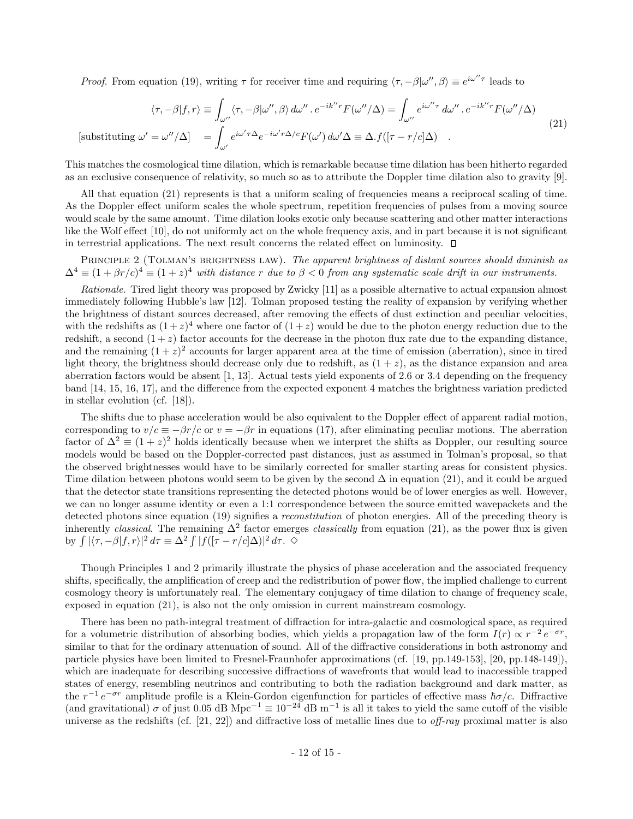*Proof.* From equation (19), writing  $\tau$  for receiver time and requiring  $\langle \tau, -\beta | \omega'', \beta \rangle \equiv e^{i\omega''\tau}$  leads to

$$
\langle \tau, -\beta | f, r \rangle \equiv \int_{\omega''} \langle \tau, -\beta | \omega'', \beta \rangle d\omega'' \cdot e^{-ik''r} F(\omega''/\Delta) = \int_{\omega''} e^{i\omega''\tau} d\omega'' \cdot e^{-ik''r} F(\omega''/\Delta)
$$
\n[substituting  $\omega' = \omega''/\Delta$ ]

\n
$$
= \int_{\omega'} e^{i\omega'\tau\Delta} e^{-i\omega'r\Delta/c} F(\omega') d\omega' \Delta \equiv \Delta . f([\tau - r/c]\Delta) .
$$
\n(21)

This matches the cosmological time dilation, which is remarkable because time dilation has been hitherto regarded as an exclusive consequence of relativity, so much so as to attribute the Doppler time dilation also to gravity [9].

All that equation (21) represents is that a uniform scaling of frequencies means a reciprocal scaling of time. As the Doppler effect uniform scales the whole spectrum, repetition frequencies of pulses from a moving source would scale by the same amount. Time dilation looks exotic only because scattering and other matter interactions like the Wolf effect [10], do not uniformly act on the whole frequency axis, and in part because it is not significant in terrestrial applications. The next result concerns the related effect on luminosity.  $\Box$ 

PRINCIPLE 2 (TOLMAN'S BRIGHTNESS LAW). *The apparent brightness of distant sources should diminish as*  $\Delta^4 \equiv (1 + \beta r/c)^4 \equiv (1 + z)^4$  *with distance* r *due to*  $\beta < 0$  *from any systematic scale drift in our instruments.* 

*Rationale.* Tired light theory was proposed by Zwicky [11] as a possible alternative to actual expansion almost immediately following Hubble's law [12]. Tolman proposed testing the reality of expansion by verifying whether the brightness of distant sources decreased, after removing the effects of dust extinction and peculiar velocities, with the redshifts as  $(1+z)^4$  where one factor of  $(1+z)$  would be due to the photon energy reduction due to the redshift, a second  $(1 + z)$  factor accounts for the decrease in the photon flux rate due to the expanding distance, and the remaining  $(1+z)^2$  accounts for larger apparent area at the time of emission (aberration), since in tired light theory, the brightness should decrease only due to redshift, as  $(1 + z)$ , as the distance expansion and area aberration factors would be absent [1, 13]. Actual tests yield exponents of 2.6 or 3.4 depending on the frequency band [14, 15, 16, 17], and the difference from the expected exponent 4 matches the brightness variation predicted in stellar evolution (cf. [18]).

The shifts due to phase acceleration would be also equivalent to the Doppler effect of apparent radial motion, corresponding to  $v/c \equiv -\beta r/c$  or  $v = -\beta r$  in equations (17), after eliminating peculiar motions. The aberration factor of  $\Delta^2 \equiv (1+z)^2$  holds identically because when we interpret the shifts as Doppler, our resulting source models would be based on the Doppler-corrected past distances, just as assumed in Tolman's proposal, so that the observed brightnesses would have to be similarly corrected for smaller starting areas for consistent physics. Time dilation between photons would seem to be given by the second  $\Delta$  in equation (21), and it could be argued that the detector state transitions representing the detected photons would be of lower energies as well. However, we can no longer assume identity or even a 1:1 correspondence between the source emitted wavepackets and the detected photons since equation (19) signifies a *reconstitution* of photon energies. All of the preceding theory is inherently *classical*. The remaining  $\Delta^2$  factor emerges *classically* from equation (21), as the power flux is given by  $\int |\langle \tau, -\beta | f, r \rangle|^2 d\tau \equiv \Delta^2 \int |f(|\tau - r/c] \Delta)|^2 d\tau$ .  $\diamond$ 

Though Principles 1 and 2 primarily illustrate the physics of phase acceleration and the associated frequency shifts, specifically, the amplification of creep and the redistribution of power flow, the implied challenge to current cosmology theory is unfortunately real. The elementary conjugacy of time dilation to change of frequency scale, exposed in equation (21), is also not the only omission in current mainstream cosmology.

There has been no path-integral treatment of diffraction for intra-galactic and cosmological space, as required for a volumetric distribution of absorbing bodies, which yields a propagation law of the form  $I(r) \propto r^{-2} e^{-\sigma r}$ , similar to that for the ordinary attenuation of sound. All of the diffractive considerations in both astronomy and particle physics have been limited to Fresnel-Fraunhofer approximations (cf. [19, pp.149-153], [20, pp.148-149]), which are inadequate for describing successive diffractions of wavefronts that would lead to inaccessible trapped states of energy, resembling neutrinos and contributing to both the radiation background and dark matter, as the  $r^{-1}e^{-\sigma r}$  amplitude profile is a Klein-Gordon eigenfunction for particles of effective mass  $\hbar\sigma/c$ . Diffractive (and gravitational)  $\sigma$  of just 0.05 dB Mpc<sup>-1</sup>  $\equiv 10^{-24}$  dB m<sup>-1</sup> is all it takes to yield the same cutoff of the visible universe as the redshifts (cf. [21, 22]) and diffractive loss of metallic lines due to *off-ray* proximal matter is also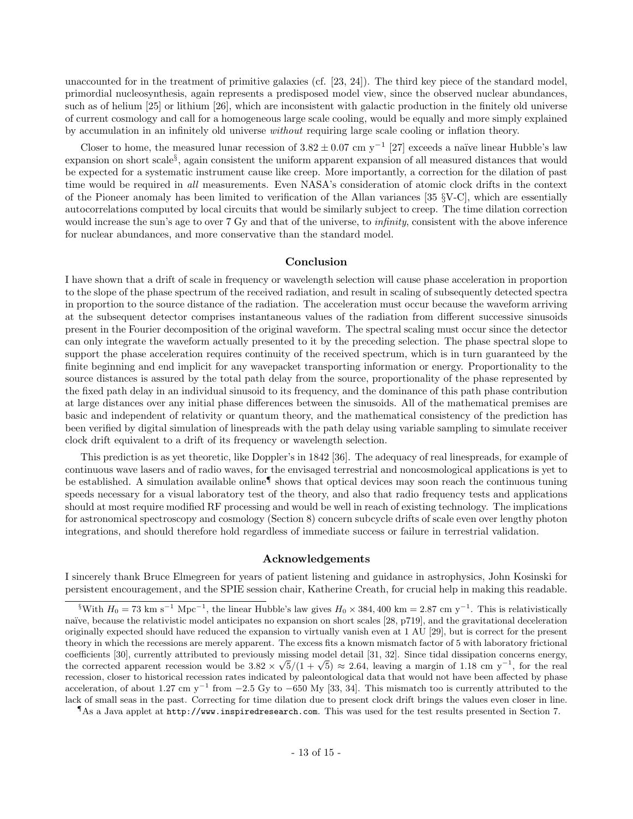unaccounted for in the treatment of primitive galaxies (cf. [23, 24]). The third key piece of the standard model, primordial nucleosynthesis, again represents a predisposed model view, since the observed nuclear abundances, such as of helium [25] or lithium [26], which are inconsistent with galactic production in the finitely old universe of current cosmology and call for a homogeneous large scale cooling, would be equally and more simply explained by accumulation in an infinitely old universe *without* requiring large scale cooling or inflation theory.

Closer to home, the measured lunar recession of  $3.82 \pm 0.07$  cm y<sup>-1</sup> [27] exceeds a naïve linear Hubble's law expansion on short scale<sup>§</sup>, again consistent the uniform apparent expansion of all measured distances that would be expected for a systematic instrument cause like creep. More importantly, a correction for the dilation of past time would be required in *all* measurements. Even NASA's consideration of atomic clock drifts in the context of the Pioneer anomaly has been limited to verification of the Allan variances [35 §V-C], which are essentially autocorrelations computed by local circuits that would be similarly subject to creep. The time dilation correction would increase the sun's age to over 7 Gy and that of the universe, to *infinity*, consistent with the above inference for nuclear abundances, and more conservative than the standard model.

#### Conclusion

I have shown that a drift of scale in frequency or wavelength selection will cause phase acceleration in proportion to the slope of the phase spectrum of the received radiation, and result in scaling of subsequently detected spectra in proportion to the source distance of the radiation. The acceleration must occur because the waveform arriving at the subsequent detector comprises instantaneous values of the radiation from different successive sinusoids present in the Fourier decomposition of the original waveform. The spectral scaling must occur since the detector can only integrate the waveform actually presented to it by the preceding selection. The phase spectral slope to support the phase acceleration requires continuity of the received spectrum, which is in turn guaranteed by the finite beginning and end implicit for any wavepacket transporting information or energy. Proportionality to the source distances is assured by the total path delay from the source, proportionality of the phase represented by the fixed path delay in an individual sinusoid to its frequency, and the dominance of this path phase contribution at large distances over any initial phase differences between the sinusoids. All of the mathematical premises are basic and independent of relativity or quantum theory, and the mathematical consistency of the prediction has been verified by digital simulation of linespreads with the path delay using variable sampling to simulate receiver clock drift equivalent to a drift of its frequency or wavelength selection.

This prediction is as yet theoretic, like Doppler's in 1842 [36]. The adequacy of real linespreads, for example of continuous wave lasers and of radio waves, for the envisaged terrestrial and noncosmological applications is yet to be established. A simulation available online¶ shows that optical devices may soon reach the continuous tuning speeds necessary for a visual laboratory test of the theory, and also that radio frequency tests and applications should at most require modified RF processing and would be well in reach of existing technology. The implications for astronomical spectroscopy and cosmology (Section 8) concern subcycle drifts of scale even over lengthy photon integrations, and should therefore hold regardless of immediate success or failure in terrestrial validation.

#### Acknowledgements

I sincerely thank Bruce Elmegreen for years of patient listening and guidance in astrophysics, John Kosinski for persistent encouragement, and the SPIE session chair, Katherine Creath, for crucial help in making this readable.

¶As a Java applet at http://www.inspiredresearch.com. This was used for the test results presented in Section 7.

<sup>&</sup>lt;sup>§</sup>With  $H_0 = 73 \text{ km s}^{-1} \text{ Mpc}^{-1}$ , the linear Hubble's law gives  $H_0 \times 384, 400 \text{ km} = 2.87 \text{ cm y}^{-1}$ . This is relativistically naïve, because the relativistic model anticipates no expansion on short scales [28, p719], and the gravitational deceleration originally expected should have reduced the expansion to virtually vanish even at 1 AU [29], but is correct for the present theory in which the recessions are merely apparent. The excess fits a known mismatch factor of 5 with laboratory frictional coefficients [30], currently attributed to previously missing model detail [31, 32]. Since tidal dissipation concerns energy, the corrected apparent recession would be  $3.82 \times \sqrt{5}/(1+\sqrt{5}) \approx 2.64$ , leaving a margin of 1.18 cm y<sup>-1</sup>, for the real recession, closer to historical recession rates indicated by paleontological data that would not have been affected by phase acceleration, of about 1.27 cm  $y^{-1}$  from  $-2.5$  Gy to  $-650$  My [33, 34]. This mismatch too is currently attributed to the lack of small seas in the past. Correcting for time dilation due to present clock drift brings the values even closer in line.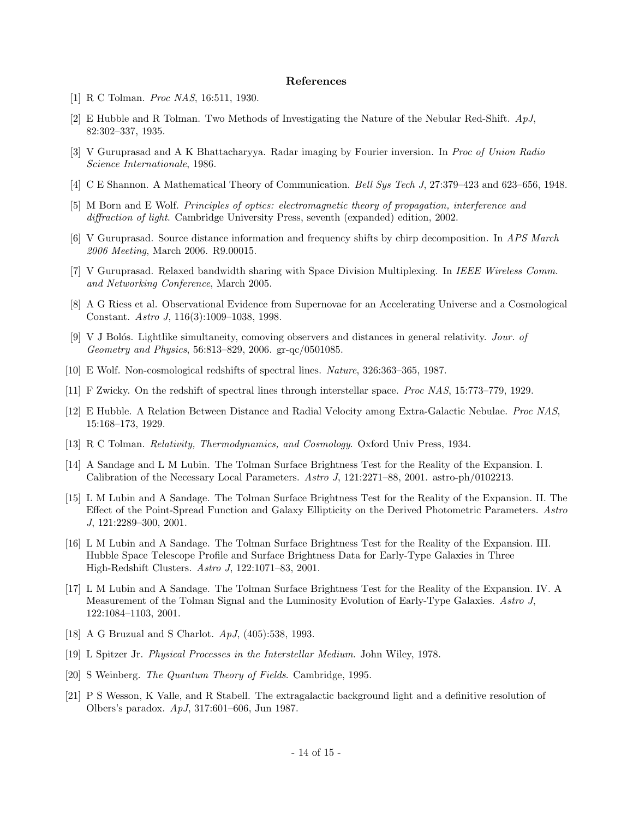#### References

- [1] R C Tolman. *Proc NAS*, 16:511, 1930.
- [2] E Hubble and R Tolman. Two Methods of Investigating the Nature of the Nebular Red-Shift. *ApJ*, 82:302–337, 1935.
- [3] V Guruprasad and A K Bhattacharyya. Radar imaging by Fourier inversion. In *Proc of Union Radio Science Internationale*, 1986.
- [4] C E Shannon. A Mathematical Theory of Communication. *Bell Sys Tech J*, 27:379–423 and 623–656, 1948.
- [5] M Born and E Wolf. *Principles of optics: electromagnetic theory of propagation, interference and diffraction of light*. Cambridge University Press, seventh (expanded) edition, 2002.
- [6] V Guruprasad. Source distance information and frequency shifts by chirp decomposition. In *APS March 2006 Meeting*, March 2006. R9.00015.
- [7] V Guruprasad. Relaxed bandwidth sharing with Space Division Multiplexing. In *IEEE Wireless Comm. and Networking Conference*, March 2005.
- [8] A G Riess et al. Observational Evidence from Supernovae for an Accelerating Universe and a Cosmological Constant. *Astro J*, 116(3):1009–1038, 1998.
- [9] V J Bol´os. Lightlike simultaneity, comoving observers and distances in general relativity. *Jour. of Geometry and Physics*, 56:813–829, 2006. gr-qc/0501085.
- [10] E Wolf. Non-cosmological redshifts of spectral lines. *Nature*, 326:363–365, 1987.
- [11] F Zwicky. On the redshift of spectral lines through interstellar space. *Proc NAS*, 15:773–779, 1929.
- [12] E Hubble. A Relation Between Distance and Radial Velocity among Extra-Galactic Nebulae. *Proc NAS*, 15:168–173, 1929.
- [13] R C Tolman. *Relativity, Thermodynamics, and Cosmology*. Oxford Univ Press, 1934.
- [14] A Sandage and L M Lubin. The Tolman Surface Brightness Test for the Reality of the Expansion. I. Calibration of the Necessary Local Parameters. *Astro J*, 121:2271–88, 2001. astro-ph/0102213.
- [15] L M Lubin and A Sandage. The Tolman Surface Brightness Test for the Reality of the Expansion. II. The Effect of the Point-Spread Function and Galaxy Ellipticity on the Derived Photometric Parameters. *Astro J*, 121:2289–300, 2001.
- [16] L M Lubin and A Sandage. The Tolman Surface Brightness Test for the Reality of the Expansion. III. Hubble Space Telescope Profile and Surface Brightness Data for Early-Type Galaxies in Three High-Redshift Clusters. *Astro J*, 122:1071–83, 2001.
- [17] L M Lubin and A Sandage. The Tolman Surface Brightness Test for the Reality of the Expansion. IV. A Measurement of the Tolman Signal and the Luminosity Evolution of Early-Type Galaxies. *Astro J*, 122:1084–1103, 2001.
- [18] A G Bruzual and S Charlot. *ApJ*, (405):538, 1993.
- [19] L Spitzer Jr. *Physical Processes in the Interstellar Medium*. John Wiley, 1978.
- [20] S Weinberg. *The Quantum Theory of Fields*. Cambridge, 1995.
- [21] P S Wesson, K Valle, and R Stabell. The extragalactic background light and a definitive resolution of Olbers's paradox. *ApJ*, 317:601–606, Jun 1987.